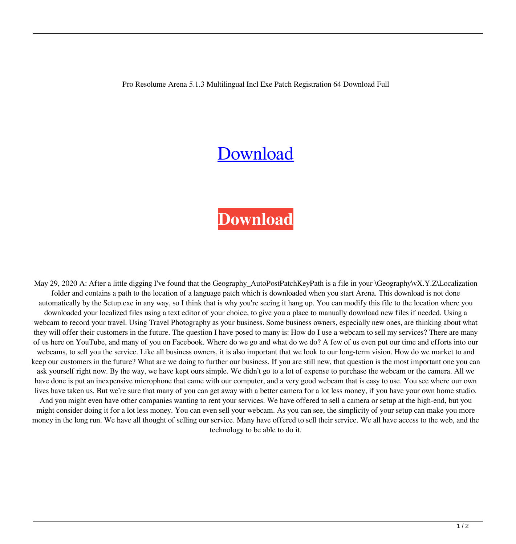Pro Resolume Arena 5.1.3 Multilingual Incl Exe Patch Registration 64 Download Full

## **[Download](http://evacdir.com/UmVzb2x1bWUgQXJlbmEgNS4xLjMgTXVsdGlsaW5ndWFsIEluY2wgUGF0Y2ggS2V5Z2VuUmV?detractor=/ZG93bmxvYWR8ekEzTVRscWJYeDhNVFkxTWpjME1EZzJObng4TWpVM05IeDhLRTBwSUhKbFlXUXRZbXh2WnlCYlJtRnpkQ0JIUlU1ZA/boulders&consign=kalahoresa&perking=sacred)**

## **[Download](http://evacdir.com/UmVzb2x1bWUgQXJlbmEgNS4xLjMgTXVsdGlsaW5ndWFsIEluY2wgUGF0Y2ggS2V5Z2VuUmV?detractor=/ZG93bmxvYWR8ekEzTVRscWJYeDhNVFkxTWpjME1EZzJObng4TWpVM05IeDhLRTBwSUhKbFlXUXRZbXh2WnlCYlJtRnpkQ0JIUlU1ZA/boulders&consign=kalahoresa&perking=sacred)**

May 29, 2020 A: After a little digging I've found that the Geography\_AutoPostPatchKeyPath is a file in your \Geography\vX.Y.Z\Localization folder and contains a path to the location of a language patch which is downloaded when you start Arena. This download is not done automatically by the Setup.exe in any way, so I think that is why you're seeing it hang up. You can modify this file to the location where you downloaded your localized files using a text editor of your choice, to give you a place to manually download new files if needed. Using a webcam to record your travel. Using Travel Photography as your business. Some business owners, especially new ones, are thinking about what they will offer their customers in the future. The question I have posed to many is: How do I use a webcam to sell my services? There are many of us here on YouTube, and many of you on Facebook. Where do we go and what do we do? A few of us even put our time and efforts into our webcams, to sell you the service. Like all business owners, it is also important that we look to our long-term vision. How do we market to and keep our customers in the future? What are we doing to further our business. If you are still new, that question is the most important one you can ask yourself right now. By the way, we have kept ours simple. We didn't go to a lot of expense to purchase the webcam or the camera. All we have done is put an inexpensive microphone that came with our computer, and a very good webcam that is easy to use. You see where our own lives have taken us. But we're sure that many of you can get away with a better camera for a lot less money, if you have your own home studio. And you might even have other companies wanting to rent your services. We have offered to sell a camera or setup at the high-end, but you might consider doing it for a lot less money. You can even sell your webcam. As you can see, the simplicity of your setup can make you more money in the long run. We have all thought of selling our service. Many have offered to sell their service. We all have access to the web, and the technology to be able to do it.